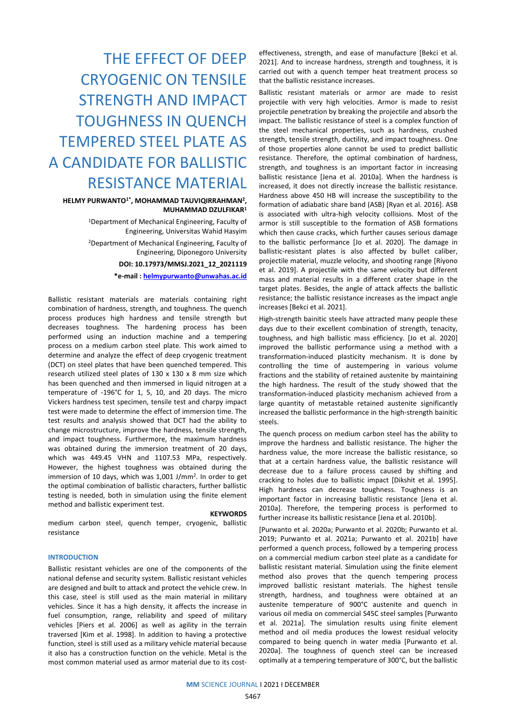# THE EFFECT OF DEEP CRYOGENIC ON TENSILE STRENGTH AND IMPACT TOUGHNESS IN QUENCH TEMPERED STEEL PLATE AS A CANDIDATE FOR BALLISTIC RESISTANCE MATERIAL

## **HELMY PURWANTO1\*, MOHAMMAD TAUVIQIRRAHMAN2, MUHAMMAD DZULFIKAR1**

1Department of Mechanical Engineering, Faculty of Engineering, Universitas Wahid Hasyim 2Department of Mechanical Engineering, Faculty of Engineering, Diponegoro University **DOI: 10.17973/MMSJ.2021\_12\_2021119**

**\*e-mail : [helmypurwanto@unwahas.ac.id](mailto:helmypurwanto@unwahas.ac.id)**

Ballistic resistant materials are materials containing right combination of hardness, strength, and toughness. The quench process produces high hardness and tensile strength but decreases toughness. The hardening process has been performed using an induction machine and a tempering process on a medium carbon steel plate. This work aimed to determine and analyze the effect of deep cryogenic treatment (DCT) on steel plates that have been quenched tempered. This research utilized steel plates of 130 x 130 x 8 mm size which has been quenched and then immersed in liquid nitrogen at a temperature of -196°C for 1, 5, 10, and 20 days. The micro Vickers hardness test specimen, tensile test and charpy impact test were made to determine the effect of immersion time. The test results and analysis showed that DCT had the ability to change microstructure, improve the hardness, tensile strength, and impact toughness. Furthermore, the maximum hardness was obtained during the immersion treatment of 20 days, which was 449.45 VHN and 1107.53 MPa, respectively. However, the highest toughness was obtained during the immersion of 10 days, which was 1,001 J/mm<sup>2</sup>. In order to get the optimal combination of ballistic characters, further ballistic testing is needed, both in simulation using the finite element method and ballistic experiment test.

## **KEYWORDS**

medium carbon steel, quench temper, cryogenic, ballistic resistance

## **INTRODUCTION**

Ballistic resistant vehicles are one of the components of the national defense and security system. Ballistic resistant vehicles are designed and built to attack and protect the vehicle crew. In this case, steel is still used as the main material in military vehicles. Since it has a high density, it affects the increase in fuel consumption, range, reliability and speed of military vehicles [Piers et al. 2006] as well as agility in the terrain traversed [Kim et al. 1998]. In addition to having a protective function, steel is still used as a military vehicle material because it also has a construction function on the vehicle. Metal is the most common material used as armor material due to its cost-

effectiveness, strength, and ease of manufacture [Bekci et al. 2021]. And to increase hardness, strength and toughness, it is carried out with a quench temper heat treatment process so that the ballistic resistance increases.

Ballistic resistant materials or armor are made to resist projectile with very high velocities. Armor is made to resist projectile penetration by breaking the projectile and absorb the impact. The ballistic resistance of steel is a complex function of the steel mechanical properties, such as hardness, crushed strength, tensile strength, ductility, and impact toughness. One of those properties alone cannot be used to predict ballistic resistance. Therefore, the optimal combination of hardness, strength, and toughness is an important factor in increasing ballistic resistance [Jena et al. 2010a]. When the hardness is increased, it does not directly increase the ballistic resistance. Hardness above 450 HB will increase the susceptibility to the formation of adiabatic share band (ASB) [Ryan et al. 2016]. ASB is associated with ultra-high velocity collisions. Most of the armor is still susceptible to the formation of ASB formations which then cause cracks, which further causes serious damage to the ballistic performance [Jo et al. 2020]. The damage in ballistic-resistant plates is also affected by bullet caliber, projectile material, muzzle velocity, and shooting range [Riyono et al. 2019]. A projectile with the same velocity but different mass and material results in a different crater shape in the target plates. Besides, the angle of attack affects the ballistic resistance; the ballistic resistance increases as the impact angle increases [Bekci et al. 2021].

High-strength bainitic steels have attracted many people these days due to their excellent combination of strength, tenacity, toughness, and high ballistic mass efficiency. [Jo et al. 2020] improved the ballistic performance using a method with a transformation-induced plasticity mechanism. It is done by controlling the time of austempering in various volume fractions and the stability of retained austenite by maintaining the high hardness. The result of the study showed that the transformation-induced plasticity mechanism achieved from a large quantity of metastable retained austenite significantly increased the ballistic performance in the high-strength bainitic steels.

The quench process on medium carbon steel has the ability to improve the hardness and ballistic resistance. The higher the hardness value, the more increase the ballistic resistance, so that at a certain hardness value, the ballistic resistance will decrease due to a failure process caused by shifting and cracking to holes due to ballistic impact [Dikshit et al. 1995]. High hardness can decrease toughness. Toughness is an important factor in increasing ballistic resistance [Jena et al. 2010a]. Therefore, the tempering process is performed to further increase its ballistic resistance [Jena et al. 2010b].

[Purwanto et al. 2020a; Purwanto et al. 2020b; Purwanto et al. 2019; Purwanto et al. 2021a; Purwanto et al. 2021b] have performed a quench process, followed by a tempering process on a commercial medium carbon steel plate as a candidate for ballistic resistant material. Simulation using the finite element method also proves that the quench tempering process improved ballistic resistant materials. The highest tensile strength, hardness, and toughness were obtained at an austenite temperature of 900°C austenite and quench in various oil media on commercial S45C steel samples [Purwanto et al. 2021a]. The simulation results using finite element method and oil media produces the lowest residual velocity compared to being quench in water media [Purwanto et al. 2020a]. The toughness of quench steel can be increased optimally at a tempering temperature of 300°C, but the ballistic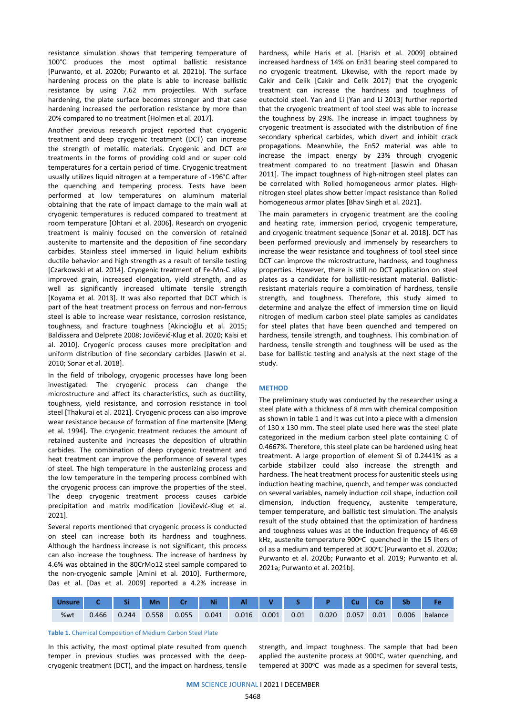resistance simulation shows that tempering temperature of 100°C produces the most optimal ballistic resistance [Purwanto, et al. 2020b; Purwanto et al. 2021b]. The surface hardening process on the plate is able to increase ballistic resistance by using 7.62 mm projectiles. With surface hardening, the plate surface becomes stronger and that case hardening increased the perforation resistance by more than 20% compared to no treatment [Holmen et al. 2017].

Another previous research project reported that cryogenic treatment and deep cryogenic treatment (DCT) can increase the strength of metallic materials. Cryogenic and DCT are treatments in the forms of providing cold and or super cold temperatures for a certain period of time. Cryogenic treatment usually utilizes liquid nitrogen at a temperature of -196°C after the quenching and tempering process. Tests have been performed at low temperatures on aluminum material obtaining that the rate of impact damage to the main wall at cryogenic temperatures is reduced compared to treatment at room temperature [Ohtani et al. 2006]. Research on cryogenic treatment is mainly focused on the conversion of retained austenite to martensite and the deposition of fine secondary carbides. Stainless steel immersed in liquid helium exhibits ductile behavior and high strength as a result of tensile testing [Czarkowski et al. 2014]. Cryogenic treatment of Fe-Mn-C alloy improved grain, increased elongation, yield strength, and as well as significantly increased ultimate tensile strength [Koyama et al. 2013]. It was also reported that DCT which is part of the heat treatment process on ferrous and non-ferrous steel is able to increase wear resistance, corrosion resistance, toughness, and fracture toughness [Akincioğlu et al. 2015; Baldissera and Delprete 2008; Jovičević-Klug et al. 2020; Kalsi et al. 2010]. Cryogenic process causes more precipitation and uniform distribution of fine secondary carbides [Jaswin et al. 2010; Sonar et al. 2018].

In the field of tribology, cryogenic processes have long been investigated. The cryogenic process can change the microstructure and affect its characteristics, such as ductility, toughness, yield resistance, and corrosion resistance in tool steel [Thakurai et al. 2021]. Cryogenic process can also improve wear resistance because of formation of fine martensite [Meng et al. 1994]. The cryogenic treatment reduces the amount of retained austenite and increases the deposition of ultrathin carbides. The combination of deep cryogenic treatment and heat treatment can improve the performance of several types of steel. The high temperature in the austenizing process and the low temperature in the tempering process combined with the cryogenic process can improve the properties of the steel. The deep cryogenic treatment process causes carbide precipitation and matrix modification [Jovičević-Klug et al. 2021].

Several reports mentioned that cryogenic process is conducted on steel can increase both its hardness and toughness. Although the hardness increase is not significant, this process can also increase the toughness. The increase of hardness by 4.6% was obtained in the 80CrMo12 steel sample compared to the non-cryogenic sample [Amini et al. 2010]. Furthermore, Das et al. [Das et al. 2009] reported a 4.2% increase in hardness, while Haris et al. [Harish et al. 2009] obtained increased hardness of 14% on En31 bearing steel compared to no cryogenic treatment. Likewise, with the report made by Cakir and Celik [Cakir and Celik 2017] that the cryogenic treatment can increase the hardness and toughness of eutectoid steel. Yan and Li [Yan and Li 2013] further reported that the cryogenic treatment of tool steel was able to increase the toughness by 29%. The increase in impact toughness by cryogenic treatment is associated with the distribution of fine secondary spherical carbides, which divert and inhibit crack propagations. Meanwhile, the En52 material was able to increase the impact energy by 23% through cryogenic treatment compared to no treatment [Jaswin and Dhasan 2011]. The impact toughness of high-nitrogen steel plates can be correlated with Rolled homogeneous armor plates. Highnitrogen steel plates show better impact resistance than Rolled homogeneous armor plates [Bhav Singh et al. 2021].

The main parameters in cryogenic treatment are the cooling and heating rate, immersion period, cryogenic temperature, and cryogenic treatment sequence [Sonar et al. 2018]. DCT has been performed previously and immensely by researchers to increase the wear resistance and toughness of tool steel since DCT can improve the microstructure, hardness, and toughness properties. However, there is still no DCT application on steel plates as a candidate for ballistic-resistant material. Ballisticresistant materials require a combination of hardness, tensile strength, and toughness. Therefore, this study aimed to determine and analyze the effect of immersion time on liquid nitrogen of medium carbon steel plate samples as candidates for steel plates that have been quenched and tempered on hardness, tensile strength, and toughness. This combination of hardness, tensile strength and toughness will be used as the base for ballistic testing and analysis at the next stage of the study.

## **METHOD**

The preliminary study was conducted by the researcher using a steel plate with a thickness of 8 mm with chemical composition as shown in table 1 and it was cut into a piece with a dimension of 130 x 130 mm. The steel plate used here was the steel plate categorized in the medium carbon steel plate containing C of 0.4667%. Therefore, this steel plate can be hardened using heat treatment. A large proportion of element Si of 0.2441% as a carbide stabilizer could also increase the strength and hardness. The heat treatment process for austenitic steels using induction heating machine, quench, and temper was conducted on several variables, namely induction coil shape, induction coil dimension, induction frequency, austenite temperature, temper temperature, and ballistic test simulation. The analysis result of the study obtained that the optimization of hardness and toughness values was at the induction frequency of 46.69 kHz, austenite temperature 900°C quenched in the 15 liters of oil as a medium and tempered at 300°C [Purwanto et al. 2020a; Purwanto et al. 2020b; Purwanto et al. 2019; Purwanto et al. 2021a; Purwanto et al. 2021b].

| <b>Unsure</b> |       |       | Mn    |       | Ni    | Al    |       |      |       | Cu    |      | Sb    |         |
|---------------|-------|-------|-------|-------|-------|-------|-------|------|-------|-------|------|-------|---------|
| %wt           | 0.466 | 0.244 | 0.558 | 0.055 | 0.041 | 0.016 | 0.001 | 0.01 | 0.020 | 0.057 | 0.01 | 0.006 | balance |

#### **Table 1.** Chemical Composition of Medium Carbon Steel Plate

In this activity, the most optimal plate resulted from quench temper in previous studies was processed with the deepcryogenic treatment (DCT), and the impact on hardness, tensile

strength, and impact toughness. The sample that had been applied the austenite process at 900°C, water quenching, and tempered at 300°C was made as a specimen for several tests,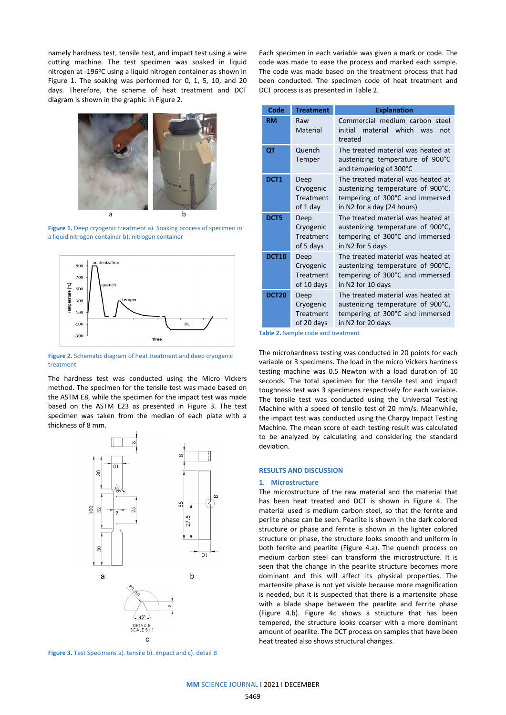namely hardness test, tensile test, and impact test using a wire cutting machine. The test specimen was soaked in liquid nitrogen at -196°C using a liquid nitrogen container as shown in Figure 1. The soaking was performed for 0, 1, 5, 10, and 20 days. Therefore, the scheme of heat treatment and DCT diagram is shown in the graphic in Figure 2.



Figure 1. Deep cryogenic treatment a). Soaking process of specimen in a liquid nitrogen container b). nitrogen container



**Figure 2.** Schematic diagram of heat treatment and deep cryogenic treatment

The hardness test was conducted using the Micro Vickers method. The specimen for the tensile test was made based on the ASTM E8, while the specimen for the impact test was made based on the ASTM E23 as presented in Figure 3. The test specimen was taken from the median of each plate with a thickness of 8 mm.



**Figure 3.** Test Specimens a). tensile b). impact and c). detail B

Each specimen in each variable was given a mark or code. The code was made to ease the process and marked each sample. The code was made based on the treatment process that had been conducted. The specimen code of heat treatment and DCT process is as presented in Table 2.

| Code             | <b>Treatment</b>                             | <b>Explanation</b>                                                                                                                       |
|------------------|----------------------------------------------|------------------------------------------------------------------------------------------------------------------------------------------|
| <b>RM</b>        | Raw<br>Material                              | Commercial medium carbon steel<br>material which<br>initial<br>was<br>not<br>treated                                                     |
| QT               | Quench<br>Temper                             | The treated material was heated at<br>austenizing temperature of 900°C<br>and tempering of 300°C                                         |
| DCT <sub>1</sub> | Deep<br>Cryogenic<br>Treatment<br>of 1 day   | The treated material was heated at<br>austenizing temperature of 900°C,<br>tempering of 300°C and immersed<br>in N2 for a day (24 hours) |
| DCT5             | Deep<br>Cryogenic<br>Treatment<br>of 5 days  | The treated material was heated at<br>austenizing temperature of 900°C,<br>tempering of 300°C and immersed<br>in N2 for 5 days           |
| <b>DCT10</b>     | Deep<br>Cryogenic<br>Treatment<br>of 10 days | The treated material was heated at<br>austenizing temperature of 900°C,<br>tempering of 300°C and immersed<br>in N2 for 10 days          |
| <b>DCT20</b>     | Deep<br>Cryogenic<br>Treatment<br>of 20 days | The treated material was heated at<br>austenizing temperature of 900°C,<br>tempering of 300°C and immersed<br>in N2 for 20 days          |

**Table 2.** Sample code and treatment

The microhardness testing was conducted in 20 points for each variable or 3 specimens. The load in the micro Vickers hardness testing machine was 0.5 Newton with a load duration of 10 seconds. The total specimen for the tensile test and impact toughness test was 3 specimens respectively for each variable. The tensile test was conducted using the Universal Testing Machine with a speed of tensile test of 20 mm/s. Meanwhile, the impact test was conducted using the Charpy Impact Testing Machine. The mean score of each testing result was calculated to be analyzed by calculating and considering the standard deviation.

# **RESULTS AND DISCUSSION**

#### **1. Microstructure**

The microstructure of the raw material and the material that has been heat treated and DCT is shown in Figure 4. The material used is medium carbon steel, so that the ferrite and perlite phase can be seen. Pearlite is shown in the dark colored structure or phase and ferrite is shown in the lighter colored structure or phase, the structure looks smooth and uniform in both ferrite and pearlite (Figure 4.a). The quench process on medium carbon steel can transform the microstructure. It is seen that the change in the pearlite structure becomes more dominant and this will affect its physical properties. The martensite phase is not yet visible because more magnification is needed, but it is suspected that there is a martensite phase with a blade shape between the pearlite and ferrite phase (Figure 4.b). Figure 4c shows a structure that has been tempered, the structure looks coarser with a more dominant amount of pearlite. The DCT process on samples that have been heat treated also shows structural changes.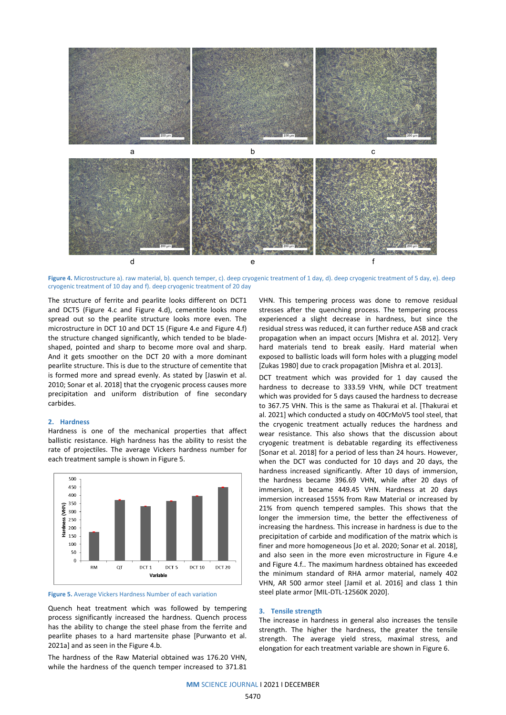

**Figure 4.** Microstructure a). raw material, b). quench temper, c). deep cryogenic treatment of 1 day, d). deep cryogenic treatment of 5 day, e). deep cryogenic treatment of 10 day and f). deep cryogenic treatment of 20 day

The structure of ferrite and pearlite looks different on DCT1 and DCT5 (Figure 4.c and Figure 4.d), cementite looks more spread out so the pearlite structure looks more even. The microstructure in DCT 10 and DCT 15 (Figure 4.e and Figure 4.f) the structure changed significantly, which tended to be bladeshaped, pointed and sharp to become more oval and sharp. And it gets smoother on the DCT 20 with a more dominant pearlite structure. This is due to the structure of cementite that is formed more and spread evenly. As stated by [Jaswin et al. 2010; Sonar et al. 2018] that the cryogenic process causes more precipitation and uniform distribution of fine secondary carbides.

## **2. Hardness**

Hardness is one of the mechanical properties that affect ballistic resistance. High hardness has the ability to resist the rate of projectiles. The average Vickers hardness number for each treatment sample is shown in Figure 5.



**Figure 5.** Average Vickers Hardness Number of each variation

Quench heat treatment which was followed by tempering process significantly increased the hardness. Quench process has the ability to change the steel phase from the ferrite and pearlite phases to a hard martensite phase [Purwanto et al. 2021a] and as seen in the Figure 4.b.

The hardness of the Raw Material obtained was 176.20 VHN, while the hardness of the quench temper increased to 371.81

VHN. This tempering process was done to remove residual stresses after the quenching process. The tempering process experienced a slight decrease in hardness, but since the residual stress was reduced, it can further reduce ASB and crack propagation when an impact occurs [Mishra et al. 2012]. Very hard materials tend to break easily. Hard material when exposed to ballistic loads will form holes with a plugging model [Zukas 1980] due to crack propagation [Mishra et al. 2013].

DCT treatment which was provided for 1 day caused the hardness to decrease to 333.59 VHN, while DCT treatment which was provided for 5 days caused the hardness to decrease to 367.75 VHN. This is the same as Thakurai et al. [Thakurai et al. 2021] which conducted a study on 40CrMoV5 tool steel, that the cryogenic treatment actually reduces the hardness and wear resistance. This also shows that the discussion about cryogenic treatment is debatable regarding its effectiveness [Sonar et al. 2018] for a period of less than 24 hours. However, when the DCT was conducted for 10 days and 20 days, the hardness increased significantly. After 10 days of immersion, the hardness became 396.69 VHN, while after 20 days of immersion, it became 449.45 VHN. Hardness at 20 days immersion increased 155% from Raw Material or increased by 21% from quench tempered samples. This shows that the longer the immersion time, the better the effectiveness of increasing the hardness. This increase in hardness is due to the precipitation of carbide and modification of the matrix which is finer and more homogeneous [Jo et al. 2020; Sonar et al. 2018], and also seen in the more even microstructure in Figure 4.e and Figure 4.f.. The maximum hardness obtained has exceeded the minimum standard of RHA armor material, namely 402 VHN, AR 500 armor steel [Jamil et al. 2016] and class 1 thin steel plate armor [MIL-DTL-12560K 2020].

#### **3. Tensile strength**

The increase in hardness in general also increases the tensile strength. The higher the hardness, the greater the tensile strength. The average yield stress, maximal stress, and elongation for each treatment variable are shown in Figure 6.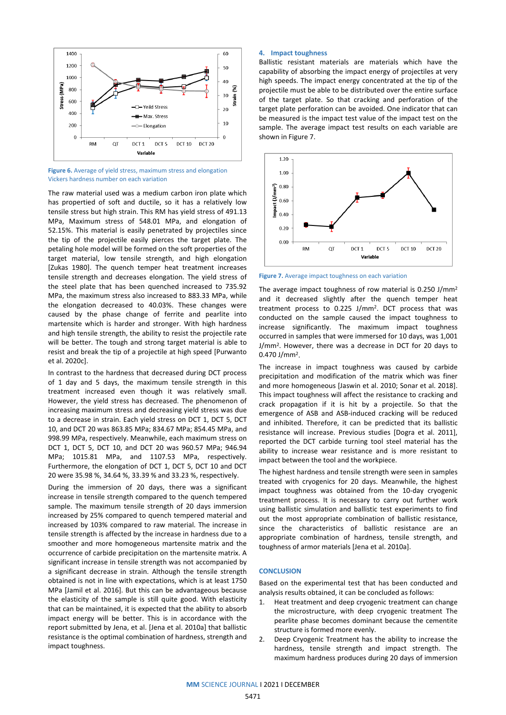

**Figure 6.** Average of yield stress, maximum stress and elongation Vickers hardness number on each variation

The raw material used was a medium carbon iron plate which has propertied of soft and ductile, so it has a relatively low tensile stress but high strain. This RM has yield stress of 491.13 MPa, Maximum stress of 548.01 MPa, and elongation of 52.15%. This material is easily penetrated by projectiles since the tip of the projectile easily pierces the target plate. The petaling hole model will be formed on the soft properties of the target material, low tensile strength, and high elongation [Zukas 1980]. The quench temper heat treatment increases tensile strength and decreases elongation. The yield stress of the steel plate that has been quenched increased to 735.92 MPa, the maximum stress also increased to 883.33 MPa, while the elongation decreased to 40.03%. These changes were caused by the phase change of ferrite and pearlite into martensite which is harder and stronger. With high hardness and high tensile strength, the ability to resist the projectile rate will be better. The tough and strong target material is able to resist and break the tip of a projectile at high speed [Purwanto et al. 2020c].

In contrast to the hardness that decreased during DCT process of 1 day and 5 days, the maximum tensile strength in this treatment increased even though it was relatively small. However, the yield stress has decreased. The phenomenon of increasing maximum stress and decreasing yield stress was due to a decrease in strain. Each yield stress on DCT 1, DCT 5, DCT 10, and DCT 20 was 863.85 MPa; 834.67 MPa; 854.45 MPa, and 998.99 MPa, respectively. Meanwhile, each maximum stress on DCT 1, DCT 5, DCT 10, and DCT 20 was 960.57 MPa; 946.94 MPa; 1015.81 MPa, and 1107.53 MPa, respectively. Furthermore, the elongation of DCT 1, DCT 5, DCT 10 and DCT 20 were 35.98 %, 34.64 %, 33.39 % and 33.23 %, respectively.

During the immersion of 20 days, there was a significant increase in tensile strength compared to the quench tempered sample. The maximum tensile strength of 20 days immersion increased by 25% compared to quench tempered material and increased by 103% compared to raw material. The increase in tensile strength is affected by the increase in hardness due to a smoother and more homogeneous martensite matrix and the occurrence of carbide precipitation on the martensite matrix. A significant increase in tensile strength was not accompanied by a significant decrease in strain. Although the tensile strength obtained is not in line with expectations, which is at least 1750 MPa [Jamil et al. 2016]. But this can be advantageous because the elasticity of the sample is still quite good. With elasticity that can be maintained, it is expected that the ability to absorb impact energy will be better. This is in accordance with the report submitted by Jena, et al. [Jena et al. 2010a] that ballistic resistance is the optimal combination of hardness, strength and impact toughness.

#### **4. Impact toughness**

Ballistic resistant materials are materials which have the capability of absorbing the impact energy of projectiles at very high speeds. The impact energy concentrated at the tip of the projectile must be able to be distributed over the entire surface of the target plate. So that cracking and perforation of the target plate perforation can be avoided. One indicator that can be measured is the impact test value of the impact test on the sample. The average impact test results on each variable are shown in Figure 7.



**Figure 7.** Average impact toughness on each variation

The average impact toughness of row material is 0.250 J/mm2 and it decreased slightly after the quench temper heat treatment process to 0.225 J/mm2. DCT process that was conducted on the sample caused the impact toughness to increase significantly. The maximum impact toughness occurred in samples that were immersed for 10 days, was 1,001 J/mm2. However, there was a decrease in DCT for 20 days to 0.470 J/mm2.

The increase in impact toughness was caused by carbide precipitation and modification of the matrix which was finer and more homogeneous [Jaswin et al. 2010; Sonar et al. 2018]. This impact toughness will affect the resistance to cracking and crack propagation if it is hit by a projectile. So that the emergence of ASB and ASB-induced cracking will be reduced and inhibited. Therefore, it can be predicted that its ballistic resistance will increase. Previous studies [Dogra et al. 2011], reported the DCT carbide turning tool steel material has the ability to increase wear resistance and is more resistant to impact between the tool and the workpiece.

The highest hardness and tensile strength were seen in samples treated with cryogenics for 20 days. Meanwhile, the highest impact toughness was obtained from the 10-day cryogenic treatment process. It is necessary to carry out further work using ballistic simulation and ballistic test experiments to find out the most appropriate combination of ballistic resistance, since the characteristics of ballistic resistance are an appropriate combination of hardness, tensile strength, and toughness of armor materials [Jena et al. 2010a].

### **CONCLUSION**

Based on the experimental test that has been conducted and analysis results obtained, it can be concluded as follows:

- 1. Heat treatment and deep cryogenic treatment can change the microstructure, with deep cryogenic treatment The pearlite phase becomes dominant because the cementite structure is formed more evenly.
- 2. Deep Cryogenic Treatment has the ability to increase the hardness, tensile strength and impact strength. The maximum hardness produces during 20 days of immersion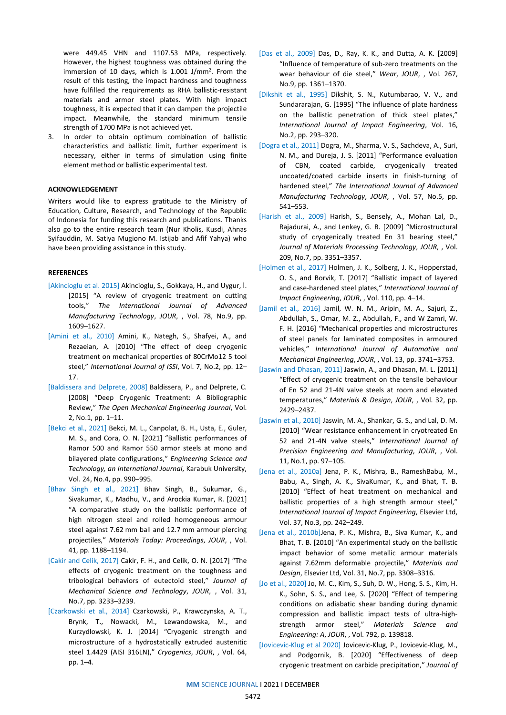were 449.45 VHN and 1107.53 MPa, respectively. However, the highest toughness was obtained during the immersion of 10 days, which is 1.001 J/mm2. From the result of this testing, the impact hardness and toughness have fulfilled the requirements as RHA ballistic-resistant materials and armor steel plates. With high impact toughness, it is expected that it can dampen the projectile impact. Meanwhile, the standard minimum tensile strength of 1700 MPa is not achieved yet.

3. In order to obtain optimum combination of ballistic characteristics and ballistic limit, further experiment is necessary, either in terms of simulation using finite element method or ballistic experimental test.

## **ACKNOWLEDGEMENT**

Writers would like to express gratitude to the Ministry of Education, Culture, Research, and Technology of the Republic of Indonesia for funding this research and publications. Thanks also go to the entire research team (Nur Kholis, Kusdi, Ahnas Syifauddin, M. Satiya Mugiono M. Istijab and Afif Yahya) who have been providing assistance in this study.

## **REFERENCES**

- [Akincioglu et al. 2015] Akincioglu, S., Gokkaya, H., and Uygur, İ. [2015] "A review of cryogenic treatment on cutting tools," *The International Journal of Advanced Manufacturing Technology*, *JOUR*, , Vol. 78, No.9, pp. 1609–1627.
- [Amini et al., 2010] Amini, K., Nategh, S., Shafyei, A., and Rezaeian, A. [2010] "The effect of deep cryogenic treatment on mechanical properties of 80CrMo12 5 tool steel," *International Journal of ISSI*, Vol. 7, No.2, pp. 12– 17.
- [Baldissera and Delprete, 2008] Baldissera, P., and Delprete, C. [2008] "Deep Cryogenic Treatment: A Bibliographic Review," *The Open Mechanical Engineering Journal*, Vol. 2, No.1, pp. 1–11.
- [Bekci et al., 2021] Bekci, M. L., Canpolat, B. H., Usta, E., Guler, M. S., and Cora, O. N. [2021] "Ballistic performances of Ramor 500 and Ramor 550 armor steels at mono and bilayered plate configurations," *Engineering Science and Technology, an International Journal*, Karabuk University, Vol. 24, No.4, pp. 990–995.
- [Bhav Singh et al., 2021] Bhav Singh, B., Sukumar, G., Sivakumar, K., Madhu, V., and Arockia Kumar, R. [2021] "A comparative study on the ballistic performance of high nitrogen steel and rolled homogeneous armour steel against 7.62 mm ball and 12.7 mm armour piercing projectiles," *Materials Today: Proceedings*, *JOUR*, , Vol. 41, pp. 1188–1194.
- [Cakir and Celik, 2017] Cakir, F. H., and Celik, O. N. [2017] "The effects of cryogenic treatment on the toughness and tribological behaviors of eutectoid steel," *Journal of Mechanical Science and Technology*, *JOUR*, , Vol. 31, No.7, pp. 3233–3239.
- [Czarkowski et al., 2014] Czarkowski, P., Krawczynska, A. T., Brynk, T., Nowacki, M., Lewandowska, M., and Kurzydlowski, K. J. [2014] "Cryogenic strength and microstructure of a hydrostatically extruded austenitic steel 1.4429 (AISI 316LN)," *Cryogenics*, *JOUR*, , Vol. 64, pp. 1–4.
- [Das et al., 2009] Das, D., Ray, K. K., and Dutta, A. K. [2009] "Influence of temperature of sub-zero treatments on the wear behaviour of die steel," *Wear*, *JOUR*, , Vol. 267, No.9, pp. 1361–1370.
- [Dikshit et al., 1995] Dikshit, S. N., Kutumbarao, V. V., and Sundararajan, G. [1995] "The influence of plate hardness on the ballistic penetration of thick steel plates," *International Journal of Impact Engineering*, Vol. 16, No.2, pp. 293–320.
- [Dogra et al., 2011] Dogra, M., Sharma, V. S., Sachdeva, A., Suri, N. M., and Dureja, J. S. [2011] "Performance evaluation of CBN, coated carbide, cryogenically treated uncoated/coated carbide inserts in finish-turning of hardened steel," *The International Journal of Advanced Manufacturing Technology*, *JOUR*, , Vol. 57, No.5, pp. 541–553.
- [Harish et al., 2009] Harish, S., Bensely, A., Mohan Lal, D., Rajadurai, A., and Lenkey, G. B. [2009] "Microstructural study of cryogenically treated En 31 bearing steel," *Journal of Materials Processing Technology*, *JOUR*, , Vol. 209, No.7, pp. 3351–3357.
- [Holmen et al., 2017] Holmen, J. K., Solberg, J. K., Hopperstad, O. S., and Borvik, T. [2017] "Ballistic impact of layered and case-hardened steel plates," *International Journal of Impact Engineering*, *JOUR*, , Vol. 110, pp. 4–14.
- [Jamil et al., 2016] Jamil, W. N. M., Aripin, M. A., Sajuri, Z., Abdullah, S., Omar, M. Z., Abdullah, F., and W Zamri, W. F. H. [2016] "Mechanical properties and microstructures of steel panels for laminated composites in armoured vehicles," *International Journal of Automotive and Mechanical Engineering*, *JOUR*, , Vol. 13, pp. 3741–3753.
- [Jaswin and Dhasan, 2011] Jaswin, A., and Dhasan, M. L. [2011] "Effect of cryogenic treatment on the tensile behaviour of En 52 and 21-4N valve steels at room and elevated temperatures," *Materials & Design*, *JOUR*, , Vol. 32, pp. 2429–2437.
- [Jaswin et al., 2010] Jaswin, M. A., Shankar, G. S., and Lal, D. M. [2010] "Wear resistance enhancement in cryotreated En 52 and 21-4N valve steels," *International Journal of Precision Engineering and Manufacturing*, *JOUR*, , Vol. 11, No.1, pp. 97–105.
- [Jena et al., 2010a] Jena, P. K., Mishra, B., RameshBabu, M., Babu, A., Singh, A. K., SivaKumar, K., and Bhat, T. B. [2010] "Effect of heat treatment on mechanical and ballistic properties of a high strength armour steel," *International Journal of Impact Engineering*, Elsevier Ltd, Vol. 37, No.3, pp. 242–249.
- [Jena et al., 2010b]Jena, P. K., Mishra, B., Siva Kumar, K., and Bhat, T. B. [2010] "An experimental study on the ballistic impact behavior of some metallic armour materials against 7.62mm deformable projectile," *Materials and Design*, Elsevier Ltd, Vol. 31, No.7, pp. 3308–3316.
- [Jo et al., 2020] Jo, M. C., Kim, S., Suh, D. W., Hong, S. S., Kim, H. K., Sohn, S. S., and Lee, S. [2020] "Effect of tempering conditions on adiabatic shear banding during dynamic compression and ballistic impact tests of ultra-highstrength armor steel," *Materials Science and Engineering: A*, *JOUR*, , Vol. 792, p. 139818.
- [Jovicevic-Klug et al 2020] Jovicevic-Klug, P., Jovicevic-Klug, M., and Podgornik, B. [2020] "Effectiveness of deep cryogenic treatment on carbide precipitation," *Journal of*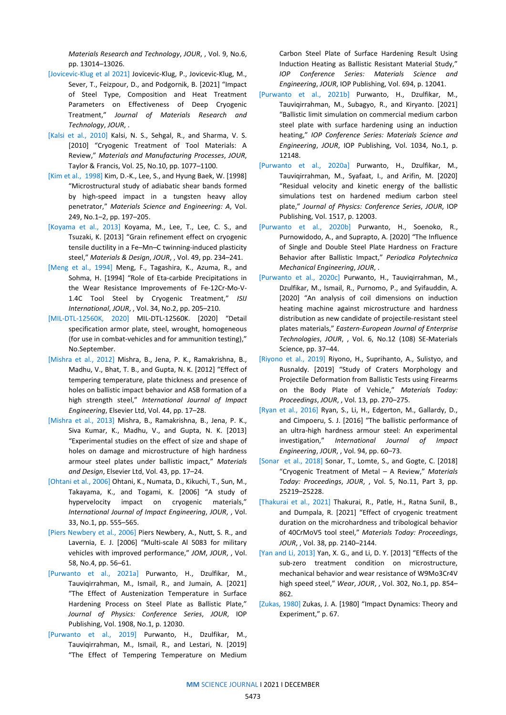*Materials Research and Technology*, *JOUR*, , Vol. 9, No.6, pp. 13014–13026.

- [Jovicevic-Klug et al 2021] Jovicevic-Klug, P., Jovicevic-Klug, M., Sever, T., Feizpour, D., and Podgornik, B. [2021] "Impact of Steel Type, Composition and Heat Treatment Parameters on Effectiveness of Deep Cryogenic Treatment," *Journal of Materials Research and Technology*, *JOUR*, .
- [Kalsi et al., 2010] Kalsi, N. S., Sehgal, R., and Sharma, V. S. [2010] "Cryogenic Treatment of Tool Materials: A Review," *Materials and Manufacturing Processes*, *JOUR*, Taylor & Francis, Vol. 25, No.10, pp. 1077–1100.
- [Kim et al., 1998] Kim, D.-K., Lee, S., and Hyung Baek, W. [1998] "Microstructural study of adiabatic shear bands formed by high-speed impact in a tungsten heavy alloy penetrator," *Materials Science and Engineering: A*, Vol. 249, No.1–2, pp. 197–205.
- [Koyama et al., 2013] Koyama, M., Lee, T., Lee, C. S., and Tsuzaki, K. [2013] "Grain refinement effect on cryogenic tensile ductility in a Fe–Mn–C twinning-induced plasticity steel," *Materials & Design*, *JOUR*, , Vol. 49, pp. 234–241.
- [Meng et al., 1994] Meng, F., Tagashira, K., Azuma, R., and Sohma, H. [1994] "Role of Eta-carbide Precipitations in the Wear Resistance Improvements of Fe-12Cr-Mo-V-1.4C Tool Steel by Cryogenic Treatment," *ISIJ International*, *JOUR*, , Vol. 34, No.2, pp. 205–210.
- [MIL-DTL-12560K, 2020] MIL-DTL-12560K. [2020] "Detail specification armor plate, steel, wrought, homogeneous (for use in combat-vehicles and for ammunition testing)," No.September.
- [Mishra et al., 2012] Mishra, B., Jena, P. K., Ramakrishna, B., Madhu, V., Bhat, T. B., and Gupta, N. K. [2012] "Effect of tempering temperature, plate thickness and presence of holes on ballistic impact behavior and ASB formation of a high strength steel," *International Journal of Impact Engineering*, Elsevier Ltd, Vol. 44, pp. 17–28.
- [Mishra et al., 2013] Mishra, B., Ramakrishna, B., Jena, P. K., Siva Kumar, K., Madhu, V., and Gupta, N. K. [2013] "Experimental studies on the effect of size and shape of holes on damage and microstructure of high hardness armour steel plates under ballistic impact," *Materials and Design*, Elsevier Ltd, Vol. 43, pp. 17–24.
- [Ohtani et al., 2006] Ohtani, K., Numata, D., Kikuchi, T., Sun, M., Takayama, K., and Togami, K. [2006] "A study of hypervelocity impact on cryogenic materials," *International Journal of Impact Engineering*, *JOUR*, , Vol. 33, No.1, pp. 555–565.
- [Piers Newbery et al., 2006] Piers Newbery, A., Nutt, S. R., and Lavernia, E. J. [2006] "Multi-scale Al 5083 for military vehicles with improved performance," *JOM*, *JOUR*, , Vol. 58, No.4, pp. 56–61.
- [Purwanto et al., 2021a] Purwanto, H., Dzulfikar, M., Tauviqirrahman, M., Ismail, R., and Jumain, A. [2021] "The Effect of Austenization Temperature in Surface Hardening Process on Steel Plate as Ballistic Plate," *Journal of Physics: Conference Series*, *JOUR*, IOP Publishing, Vol. 1908, No.1, p. 12030.
- [Purwanto et al., 2019] Purwanto, H., Dzulfikar, M., Tauviqirrahman, M., Ismail, R., and Lestari, N. [2019] "The Effect of Tempering Temperature on Medium

Carbon Steel Plate of Surface Hardening Result Using Induction Heating as Ballistic Resistant Material Study," *IOP Conference Series: Materials Science and Engineering*, *JOUR*, IOP Publishing, Vol. 694, p. 12041.

- [Purwanto et al., 2021b] Purwanto, H., Dzulfikar, M., Tauviqirrahman, M., Subagyo, R., and Kiryanto. [2021] "Ballistic limit simulation on commercial medium carbon steel plate with surface hardening using an induction heating," *IOP Conference Series: Materials Science and Engineering*, *JOUR*, IOP Publishing, Vol. 1034, No.1, p. 12148.
- [Purwanto et al., 2020a] Purwanto, H., Dzulfikar, M., Tauviqirrahman, M., Syafaat, I., and Arifin, M. [2020] "Residual velocity and kinetic energy of the ballistic simulations test on hardened medium carbon steel plate," *Journal of Physics: Conference Series*, *JOUR*, IOP Publishing, Vol. 1517, p. 12003.
- [Purwanto et al., 2020b] Purwanto, H., Soenoko, R., Purnowidodo, A., and Suprapto, A. [2020] "The Influence of Single and Double Steel Plate Hardness on Fracture Behavior after Ballistic Impact," *Periodica Polytechnica Mechanical Engineering*, *JOUR*, .
- [Purwanto et al., 2020c] Purwanto, H., Tauviqirrahman, M., Dzulfikar, M., Ismail, R., Purnomo, P., and Syifauddin, A. [2020] "An analysis of coil dimensions on induction heating machine against microstructure and hardness distribution as new candidate of projectile-resistant steel plates materials," *Eastern-European Journal of Enterprise Technologies*, *JOUR*, , Vol. 6, No.12 (108) SE-Materials Science, pp. 37–44.
- [Riyono et al., 2019] Riyono, H., Suprihanto, A., Sulistyo, and Rusnaldy. [2019] "Study of Craters Morphology and Projectile Deformation from Ballistic Tests using Firearms on the Body Plate of Vehicle," *Materials Today: Proceedings*, *JOUR*, , Vol. 13, pp. 270–275.
- [Ryan et al., 2016] Ryan, S., Li, H., Edgerton, M., Gallardy, D., and Cimpoeru, S. J. [2016] "The ballistic performance of an ultra-high hardness armour steel: An experimental investigation," *International Journal of Impact Engineering*, *JOUR*, , Vol. 94, pp. 60–73.
- [Sonar et al., 2018] Sonar, T., Lomte, S., and Gogte, C. [2018] "Cryogenic Treatment of Metal – A Review," *Materials Today: Proceedings*, *JOUR*, , Vol. 5, No.11, Part 3, pp. 25219–25228.
- [Thakurai et al., 2021] Thakurai, R., Patle, H., Ratna Sunil, B., and Dumpala, R. [2021] "Effect of cryogenic treatment duration on the microhardness and tribological behavior of 40CrMoV5 tool steel," *Materials Today: Proceedings*, *JOUR*, , Vol. 38, pp. 2140–2144.
- [Yan and Li, 2013] Yan, X. G., and Li, D. Y. [2013] "Effects of the sub-zero treatment condition on microstructure, mechanical behavior and wear resistance of W9Mo3Cr4V high speed steel," *Wear*, *JOUR*, , Vol. 302, No.1, pp. 854– 862.
- [Zukas, 1980] Zukas, J. A. [1980] "Impact Dynamics: Theory and Experiment," p. 67.